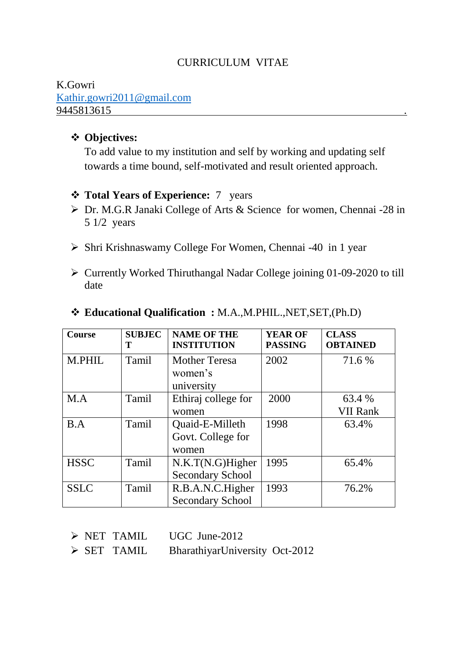### CURRICULUM VITAE

#### K.Gowri [Kathir.gowri2011@gmail.com](mailto:Kathir.gowri2011@gmail.com) 9445813615 .

## **Objectives:**

To add value to my institution and self by working and updating self towards a time bound, self-motivated and result oriented approach.

### **Total Years of Experience:** 7 years

- Dr. M.G.R Janaki College of Arts & Science for women, Chennai -28 in 5 1/2 years
- $\triangleright$  Shri Krishnaswamy College For Women, Chennai -40 in 1 year
- $\triangleright$  Currently Worked Thiruthangal Nadar College joining 01-09-2020 to till date

| <b>Course</b> | <b>SUBJEC</b><br>т | <b>NAME OF THE</b><br><b>INSTITUTION</b>       | <b>YEAR OF</b><br><b>PASSING</b> | <b>CLASS</b><br><b>OBTAINED</b> |
|---------------|--------------------|------------------------------------------------|----------------------------------|---------------------------------|
| M.PHIL        | Tamil              | <b>Mother Teresa</b><br>women's<br>university  | 2002                             | 71.6 %                          |
| M.A           | Tamil              | Ethiraj college for<br>women                   | 2000                             | 63.4 %<br><b>VII Rank</b>       |
| B.A           | Tamil              | Quaid-E-Milleth<br>Govt. College for<br>women  | 1998                             | 63.4%                           |
| <b>HSSC</b>   | Tamil              | $N.K.T(N.G)$ Higher<br><b>Secondary School</b> | 1995                             | 65.4%                           |
| <b>SSLC</b>   | Tamil              | R.B.A.N.C.Higher<br><b>Secondary School</b>    | 1993                             | 76.2%                           |

### **Educational Qualification :** M.A.,M.PHIL.,NET,SET,(Ph.D)

- $\triangleright$  NET TAMIL UGC June-2012
- SET TAMIL BharathiyarUniversity Oct-2012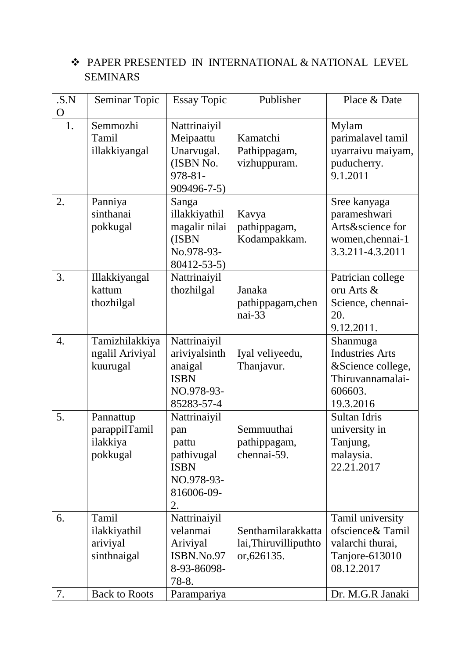# PAPER PRESENTED IN INTERNATIONAL & NATIONAL LEVEL SEMINARS

| .S.N<br>$\overline{O}$ | Seminar Topic                                      | <b>Essay Topic</b>                                                                          | Publisher                                                  | Place & Date                                                                                        |
|------------------------|----------------------------------------------------|---------------------------------------------------------------------------------------------|------------------------------------------------------------|-----------------------------------------------------------------------------------------------------|
| 1.                     | Semmozhi<br>Tamil<br>illakkiyangal                 | Nattrinaiyil<br>Meipaattu<br>Unarvugal.<br>(ISBN No.<br>978-81-<br>909496-7-5)              | Kamatchi<br>Pathippagam,<br>vizhuppuram.                   | Mylam<br>parimalavel tamil<br>uyarraivu maiyam,<br>puducherry.<br>9.1.2011                          |
| 2.                     | Panniya<br>sinthanai<br>pokkugal                   | Sanga<br>illakkiyathil<br>magalir nilai<br>(ISBN<br>No.978-93-<br>80412-53-5)               | Kavya<br>pathippagam,<br>Kodampakkam.                      | Sree kanyaga<br>parameshwari<br>Arts&science for<br>women, chennai-1<br>3.3.211-4.3.2011            |
| 3.                     | Illakkiyangal<br>kattum<br>thozhilgal              | Nattrinaiyil<br>thozhilgal                                                                  | Janaka<br>pathippagam, chen<br>nai-33                      | Patrician college<br>oru Arts &<br>Science, chennai-<br>20.<br>9.12.2011.                           |
| 4.                     | Tamizhilakkiya<br>ngalil Ariviyal<br>kuurugal      | Nattrinaiyil<br>ariviyalsinth<br>anaigal<br><b>ISBN</b><br>NO.978-93-<br>85283-57-4         | Iyal veliyeedu,<br>Thanjavur.                              | Shanmuga<br><b>Industries Arts</b><br>&Science college,<br>Thiruvannamalai-<br>606603.<br>19.3.2016 |
| 5.                     | Pannattup<br>parappilTamil<br>ilakkiya<br>pokkugal | Nattrinaiyil<br>pan<br>pattu<br>pathivugal<br><b>ISBN</b><br>NO.978-93-<br>816006-09-<br>2. | Semmuuthai<br>pathippagam,<br>chennai-59.                  | Sultan Idris<br>university in<br>Tanjung,<br>malaysia.<br>22.21.2017                                |
| 6.                     | Tamil<br>ilakkiyathil<br>ariviyal<br>sinthnaigal   | Nattrinaiyil<br>velanmai<br>Ariviyal<br>ISBN.No.97<br>8-93-86098-<br>78-8.                  | Senthamilarakkatta<br>lai, Thiruvilliputhto<br>or, 626135. | Tamil university<br>ofscience& Tamil<br>valarchi thurai,<br>Tanjore-613010<br>08.12.2017            |
| 7.                     | <b>Back to Roots</b>                               | Parampariya                                                                                 |                                                            | Dr. M.G.R Janaki                                                                                    |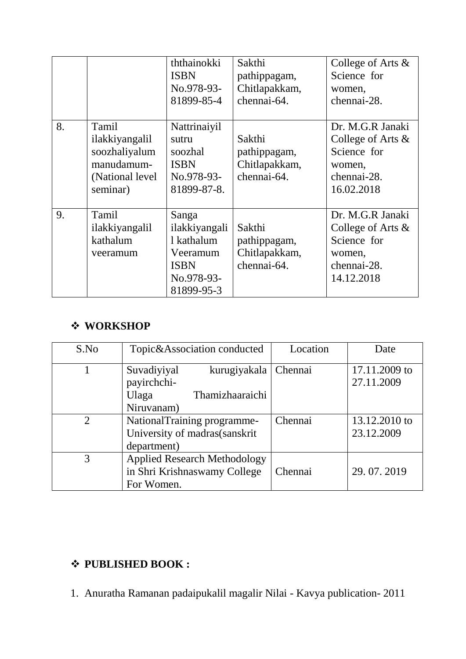|    |                                                                                        | ththainokki<br><b>ISBN</b><br>No.978-93-<br>81899-85-4                                      | Sakthi<br>pathippagam,<br>Chitlapakkam,<br>chennai-64. | College of Arts $\&$<br>Science for<br>women,<br>chennai-28.                                   |
|----|----------------------------------------------------------------------------------------|---------------------------------------------------------------------------------------------|--------------------------------------------------------|------------------------------------------------------------------------------------------------|
| 8. | Tamil<br>ilakkiyangalil<br>soozhaliyalum<br>manudamum-<br>(National level)<br>seminar) | Nattrinaiyil<br>sutru<br>soozhal<br><b>ISBN</b><br>No.978-93-<br>81899-87-8.                | Sakthi<br>pathippagam,<br>Chitlapakkam,<br>chennai-64. | Dr. M.G.R Janaki<br>College of Arts &<br>Science for<br>women,<br>chennai-28.<br>16.02.2018    |
| 9. | Tamil<br>ilakkiyangalil<br>kathalum<br>veeramum                                        | Sanga<br>ilakkiyangali<br>1 kathalum<br>Veeramum<br><b>ISBN</b><br>No.978-93-<br>81899-95-3 | Sakthi<br>pathippagam,<br>Chitlapakkam,<br>chennai-64. | Dr. M.G.R Janaki<br>College of Arts $\&$<br>Science for<br>women,<br>chennai-28.<br>14.12.2018 |

# **WORKSHOP**

| S.No          | Topic&Association conducted                                                          | Location | Date                        |
|---------------|--------------------------------------------------------------------------------------|----------|-----------------------------|
|               | Suvadiyiyal<br>kurugiyakala<br>payirchchi-<br>Thamizhaaraichi<br>Ulaga<br>Niruvanam) | Chennai  | 17.11.2009 to<br>27.11.2009 |
| $\mathcal{D}$ | NationalTraining programme-<br>University of madras(sanskrit<br>department)          | Chennai  | 13.12.2010 to<br>23.12.2009 |
| 3             | <b>Applied Research Methodology</b><br>in Shri Krishnaswamy College<br>For Women.    | Chennai  | 29.07.2019                  |

# **PUBLISHED BOOK :**

1. Anuratha Ramanan padaipukalil magalir Nilai - Kavya publication- 2011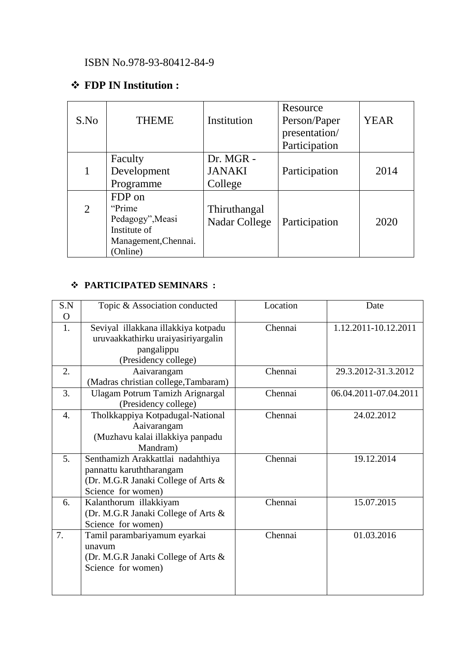## ISBN No.978-93-80412-84-9

# **FDP IN Institution :**

| S.No           | <b>THEME</b>                                                                              | Institution                           | Resource<br>Person/Paper<br>presentation/<br>Participation | <b>YEAR</b> |
|----------------|-------------------------------------------------------------------------------------------|---------------------------------------|------------------------------------------------------------|-------------|
|                | Faculty<br>Development<br>Programme                                                       | Dr. MGR -<br><b>JANAKI</b><br>College | Participation                                              | 2014        |
| $\overline{2}$ | FDP on<br>"Prime"<br>Pedagogy", Measi<br>Institute of<br>Management, Chennai.<br>(Online) | Thiruthangal<br>Nadar College         | Participation                                              | 2020        |

### **PARTICIPATED SEMINARS :**

| S.N      | Topic & Association conducted        | Location | Date                  |
|----------|--------------------------------------|----------|-----------------------|
| $\Omega$ |                                      |          |                       |
| 1.       | Seviyal illakkana illakkiya kotpadu  | Chennai  | 1.12.2011-10.12.2011  |
|          | uruvaakkathirku uraiyasiriyargalin   |          |                       |
|          | pangalippu                           |          |                       |
|          | (Presidency college)                 |          |                       |
| 2.       | Aaivarangam                          | Chennai  | 29.3.2012-31.3.2012   |
|          | (Madras christian college, Tambaram) |          |                       |
| 3.       | Ulagam Potrum Tamizh Arignargal      | Chennai  | 06.04.2011-07.04.2011 |
|          | (Presidency college)                 |          |                       |
| 4.       | Tholkkappiya Kotpadugal-National     | Chennai  | 24.02.2012            |
|          | Aaivarangam                          |          |                       |
|          | (Muzhavu kalai illakkiya panpadu     |          |                       |
|          | Mandram)                             |          |                       |
| 5.       | Senthamizh Arakkattlai nadahthiya    | Chennai  | 19.12.2014            |
|          | pannattu karuththarangam             |          |                       |
|          | (Dr. M.G.R Janaki College of Arts &  |          |                       |
|          | Science for women)                   |          |                       |
| 6.       | Kalanthorum illakkiyam               | Chennai  | 15.07.2015            |
|          | (Dr. M.G.R Janaki College of Arts &  |          |                       |
|          | Science for women)                   |          |                       |
| 7.       | Tamil parambariyamum eyarkai         | Chennai  | 01.03.2016            |
|          | unavum                               |          |                       |
|          | (Dr. M.G.R Janaki College of Arts &  |          |                       |
|          | Science for women)                   |          |                       |
|          |                                      |          |                       |
|          |                                      |          |                       |